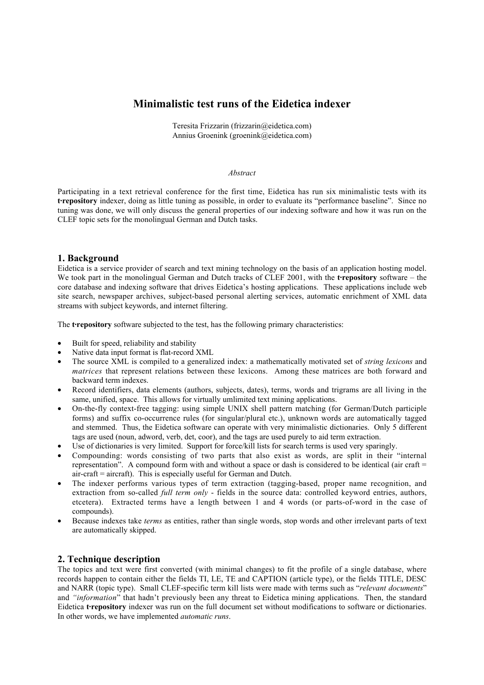# **Minimalistic test runs of the Eidetica indexer**

Teresita Frizzarin (frizzarin@eidetica.com) Annius Groenink (groenink@eidetica.com)

#### *Abstract*

Participating in a text retrieval conference for the first time, Eidetica has run six minimalistic tests with its **t·repository** indexer, doing as little tuning as possible, in order to evaluate its "performance baseline". Since no tuning was done, we will only discuss the general properties of our indexing software and how it was run on the CLEF topic sets for the monolingual German and Dutch tasks.

## **1. Background**

Eidetica is a service provider of search and text mining technology on the basis of an application hosting model. We took part in the monolingual German and Dutch tracks of CLEF 2001, with the **t·repository** software – the core database and indexing software that drives Eidetica's hosting applications. These applications include web site search, newspaper archives, subject-based personal alerting services, automatic enrichment of XML data streams with subject keywords, and internet filtering.

The **t**repository software subjected to the test, has the following primary characteristics:

- Built for speed, reliability and stability
- Native data input format is flat-record XML
- The source XML is compiled to a generalized index: a mathematically motivated set of *string lexicons* and *matrices* that represent relations between these lexicons. Among these matrices are both forward and backward term indexes.
- Record identifiers, data elements (authors, subjects, dates), terms, words and trigrams are all living in the same, unified, space. This allows for virtually umlimited text mining applications.
- On-the-fly context-free tagging: using simple UNIX shell pattern matching (for German/Dutch participle forms) and suffix co-occurrence rules (for singular/plural etc.), unknown words are automatically tagged and stemmed. Thus, the Eidetica software can operate with very minimalistic dictionaries. Only 5 different tags are used (noun, adword, verb, det, coor), and the tags are used purely to aid term extraction.
- Use of dictionaries is very limited. Support for force/kill lists for search terms is used very sparingly.
- Compounding: words consisting of two parts that also exist as words, are split in their "internal representation". A compound form with and without a space or dash is considered to be identical (air craft = air-craft = aircraft). This is especially useful for German and Dutch.
- The indexer performs various types of term extraction (tagging-based, proper name recognition, and extraction from so-called *full term only* - fields in the source data: controlled keyword entries, authors, etcetera). Extracted terms have a length between 1 and 4 words (or parts-of-word in the case of compounds).
- Because indexes take *terms* as entities, rather than single words, stop words and other irrelevant parts of text are automatically skipped.

## **2. Technique description**

The topics and text were first converted (with minimal changes) to fit the profile of a single database, where records happen to contain either the fields TI, LE, TE and CAPTION (article type), or the fields TITLE, DESC and NARR (topic type). Small CLEF-specific term kill lists were made with terms such as "*relevant documents*" and *"information*" that hadn't previously been any threat to Eidetica mining applications. Then, the standard Eidetica **trepository** indexer was run on the full document set without modifications to software or dictionaries. In other words, we have implemented *automatic runs*.